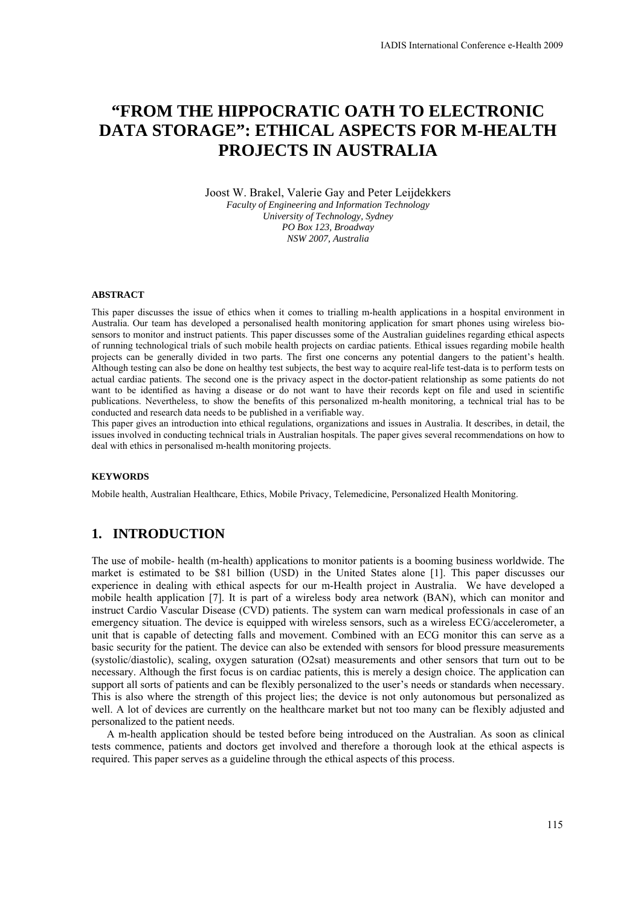# **"FROM THE HIPPOCRATIC OATH TO ELECTRONIC DATA STORAGE": ETHICAL ASPECTS FOR M-HEALTH PROJECTS IN AUSTRALIA**

Joost W. Brakel, Valerie Gay and Peter Leijdekkers *Faculty of Engineering and Information Technology University of Technology, Sydney PO Box 123, Broadway NSW 2007, Australia* 

#### **ABSTRACT**

This paper discusses the issue of ethics when it comes to trialling m-health applications in a hospital environment in Australia. Our team has developed a personalised health monitoring application for smart phones using wireless biosensors to monitor and instruct patients. This paper discusses some of the Australian guidelines regarding ethical aspects of running technological trials of such mobile health projects on cardiac patients. Ethical issues regarding mobile health projects can be generally divided in two parts. The first one concerns any potential dangers to the patient's health. Although testing can also be done on healthy test subjects, the best way to acquire real-life test-data is to perform tests on actual cardiac patients. The second one is the privacy aspect in the doctor-patient relationship as some patients do not want to be identified as having a disease or do not want to have their records kept on file and used in scientific publications. Nevertheless, to show the benefits of this personalized m-health monitoring, a technical trial has to be conducted and research data needs to be published in a verifiable way.

This paper gives an introduction into ethical regulations, organizations and issues in Australia. It describes, in detail, the issues involved in conducting technical trials in Australian hospitals. The paper gives several recommendations on how to deal with ethics in personalised m-health monitoring projects.

#### **KEYWORDS**

Mobile health, Australian Healthcare, Ethics, Mobile Privacy, Telemedicine, Personalized Health Monitoring.

## **1. INTRODUCTION**

The use of mobile- health (m-health) applications to monitor patients is a booming business worldwide. The market is estimated to be \$81 billion (USD) in the United States alone [1]. This paper discusses our experience in dealing with ethical aspects for our m-Health project in Australia. We have developed a mobile health application [7]. It is part of a wireless body area network (BAN), which can monitor and instruct Cardio Vascular Disease (CVD) patients. The system can warn medical professionals in case of an emergency situation. The device is equipped with wireless sensors, such as a wireless ECG/accelerometer, a unit that is capable of detecting falls and movement. Combined with an ECG monitor this can serve as a basic security for the patient. The device can also be extended with sensors for blood pressure measurements (systolic/diastolic), scaling, oxygen saturation (O2sat) measurements and other sensors that turn out to be necessary. Although the first focus is on cardiac patients, this is merely a design choice. The application can support all sorts of patients and can be flexibly personalized to the user's needs or standards when necessary. This is also where the strength of this project lies; the device is not only autonomous but personalized as well. A lot of devices are currently on the healthcare market but not too many can be flexibly adjusted and personalized to the patient needs.

A m-health application should be tested before being introduced on the Australian. As soon as clinical tests commence, patients and doctors get involved and therefore a thorough look at the ethical aspects is required. This paper serves as a guideline through the ethical aspects of this process.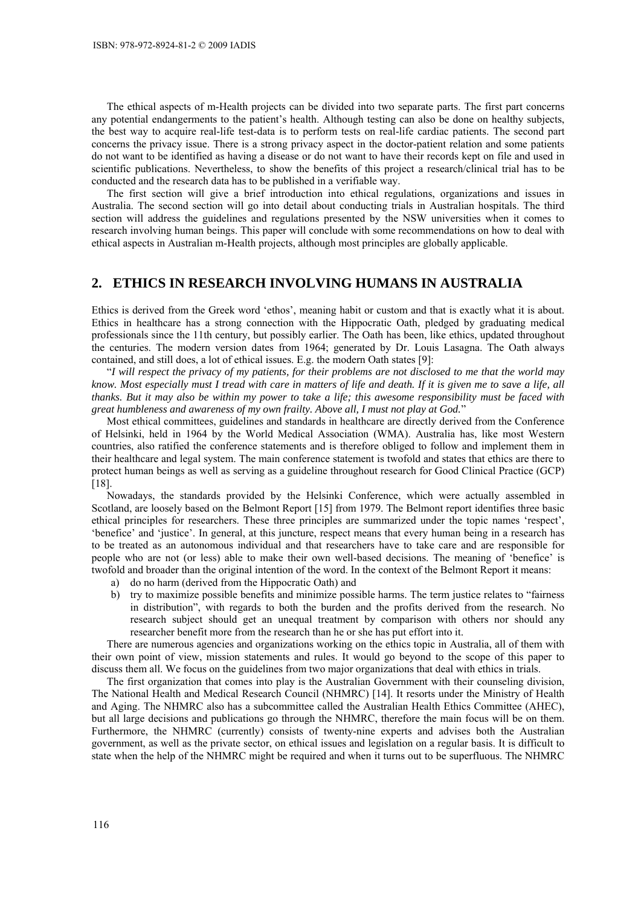The ethical aspects of m-Health projects can be divided into two separate parts. The first part concerns any potential endangerments to the patient's health. Although testing can also be done on healthy subjects, the best way to acquire real-life test-data is to perform tests on real-life cardiac patients. The second part concerns the privacy issue. There is a strong privacy aspect in the doctor-patient relation and some patients do not want to be identified as having a disease or do not want to have their records kept on file and used in scientific publications. Nevertheless, to show the benefits of this project a research/clinical trial has to be conducted and the research data has to be published in a verifiable way.

The first section will give a brief introduction into ethical regulations, organizations and issues in Australia. The second section will go into detail about conducting trials in Australian hospitals. The third section will address the guidelines and regulations presented by the NSW universities when it comes to research involving human beings. This paper will conclude with some recommendations on how to deal with ethical aspects in Australian m-Health projects, although most principles are globally applicable.

#### **2. ETHICS IN RESEARCH INVOLVING HUMANS IN AUSTRALIA**

Ethics is derived from the Greek word 'ethos', meaning habit or custom and that is exactly what it is about. Ethics in healthcare has a strong connection with the Hippocratic Oath, pledged by graduating medical professionals since the 11th century, but possibly earlier. The Oath has been, like ethics, updated throughout the centuries. The modern version dates from 1964; generated by Dr. Louis Lasagna. The Oath always contained, and still does, a lot of ethical issues. E.g. the modern Oath states [9]:

"*I will respect the privacy of my patients, for their problems are not disclosed to me that the world may know. Most especially must I tread with care in matters of life and death. If it is given me to save a life, all thanks. But it may also be within my power to take a life; this awesome responsibility must be faced with great humbleness and awareness of my own frailty. Above all, I must not play at God.*"

Most ethical committees, guidelines and standards in healthcare are directly derived from the Conference of Helsinki, held in 1964 by the World Medical Association (WMA). Australia has, like most Western countries, also ratified the conference statements and is therefore obliged to follow and implement them in their healthcare and legal system. The main conference statement is twofold and states that ethics are there to protect human beings as well as serving as a guideline throughout research for Good Clinical Practice (GCP) [18].

Nowadays, the standards provided by the Helsinki Conference, which were actually assembled in Scotland, are loosely based on the Belmont Report [15] from 1979. The Belmont report identifies three basic ethical principles for researchers. These three principles are summarized under the topic names 'respect', 'benefice' and 'justice'. In general, at this juncture, respect means that every human being in a research has to be treated as an autonomous individual and that researchers have to take care and are responsible for people who are not (or less) able to make their own well-based decisions. The meaning of 'benefice' is twofold and broader than the original intention of the word. In the context of the Belmont Report it means:

- a) do no harm (derived from the Hippocratic Oath) and
- b) try to maximize possible benefits and minimize possible harms. The term justice relates to "fairness in distribution", with regards to both the burden and the profits derived from the research. No research subject should get an unequal treatment by comparison with others nor should any researcher benefit more from the research than he or she has put effort into it.

There are numerous agencies and organizations working on the ethics topic in Australia, all of them with their own point of view, mission statements and rules. It would go beyond to the scope of this paper to discuss them all. We focus on the guidelines from two major organizations that deal with ethics in trials.

The first organization that comes into play is the Australian Government with their counseling division, The National Health and Medical Research Council (NHMRC) [14]. It resorts under the Ministry of Health and Aging. The NHMRC also has a subcommittee called the Australian Health Ethics Committee (AHEC), but all large decisions and publications go through the NHMRC, therefore the main focus will be on them. Furthermore, the NHMRC (currently) consists of twenty-nine experts and advises both the Australian government, as well as the private sector, on ethical issues and legislation on a regular basis. It is difficult to state when the help of the NHMRC might be required and when it turns out to be superfluous. The NHMRC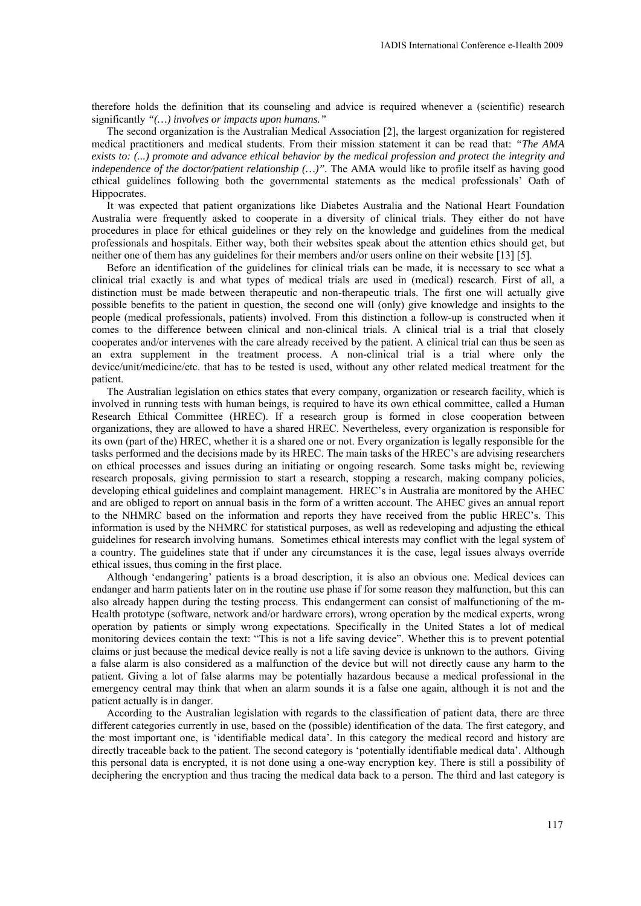therefore holds the definition that its counseling and advice is required whenever a (scientific) research significantly *"(…) involves or impacts upon humans."* 

The second organization is the Australian Medical Association [2], the largest organization for registered medical practitioners and medical students. From their mission statement it can be read that: *"The AMA exists to: (...) promote and advance ethical behavior by the medical profession and protect the integrity and independence of the doctor/patient relationship (…)".* The AMA would like to profile itself as having good ethical guidelines following both the governmental statements as the medical professionals' Oath of Hippocrates.

It was expected that patient organizations like Diabetes Australia and the National Heart Foundation Australia were frequently asked to cooperate in a diversity of clinical trials. They either do not have procedures in place for ethical guidelines or they rely on the knowledge and guidelines from the medical professionals and hospitals. Either way, both their websites speak about the attention ethics should get, but neither one of them has any guidelines for their members and/or users online on their website [13] [5].

Before an identification of the guidelines for clinical trials can be made, it is necessary to see what a clinical trial exactly is and what types of medical trials are used in (medical) research. First of all, a distinction must be made between therapeutic and non-therapeutic trials. The first one will actually give possible benefits to the patient in question, the second one will (only) give knowledge and insights to the people (medical professionals, patients) involved. From this distinction a follow-up is constructed when it comes to the difference between clinical and non-clinical trials. A clinical trial is a trial that closely cooperates and/or intervenes with the care already received by the patient. A clinical trial can thus be seen as an extra supplement in the treatment process. A non-clinical trial is a trial where only the device/unit/medicine/etc. that has to be tested is used, without any other related medical treatment for the patient.

The Australian legislation on ethics states that every company, organization or research facility, which is involved in running tests with human beings, is required to have its own ethical committee, called a Human Research Ethical Committee (HREC). If a research group is formed in close cooperation between organizations, they are allowed to have a shared HREC. Nevertheless, every organization is responsible for its own (part of the) HREC, whether it is a shared one or not. Every organization is legally responsible for the tasks performed and the decisions made by its HREC. The main tasks of the HREC's are advising researchers on ethical processes and issues during an initiating or ongoing research. Some tasks might be, reviewing research proposals, giving permission to start a research, stopping a research, making company policies, developing ethical guidelines and complaint management. HREC's in Australia are monitored by the AHEC and are obliged to report on annual basis in the form of a written account. The AHEC gives an annual report to the NHMRC based on the information and reports they have received from the public HREC's. This information is used by the NHMRC for statistical purposes, as well as redeveloping and adjusting the ethical guidelines for research involving humans. Sometimes ethical interests may conflict with the legal system of a country. The guidelines state that if under any circumstances it is the case, legal issues always override ethical issues, thus coming in the first place.

Although 'endangering' patients is a broad description, it is also an obvious one. Medical devices can endanger and harm patients later on in the routine use phase if for some reason they malfunction, but this can also already happen during the testing process. This endangerment can consist of malfunctioning of the m-Health prototype (software, network and/or hardware errors), wrong operation by the medical experts, wrong operation by patients or simply wrong expectations. Specifically in the United States a lot of medical monitoring devices contain the text: "This is not a life saving device". Whether this is to prevent potential claims or just because the medical device really is not a life saving device is unknown to the authors. Giving a false alarm is also considered as a malfunction of the device but will not directly cause any harm to the patient. Giving a lot of false alarms may be potentially hazardous because a medical professional in the emergency central may think that when an alarm sounds it is a false one again, although it is not and the patient actually is in danger.

According to the Australian legislation with regards to the classification of patient data, there are three different categories currently in use, based on the (possible) identification of the data. The first category, and the most important one, is 'identifiable medical data'. In this category the medical record and history are directly traceable back to the patient. The second category is 'potentially identifiable medical data'. Although this personal data is encrypted, it is not done using a one-way encryption key. There is still a possibility of deciphering the encryption and thus tracing the medical data back to a person. The third and last category is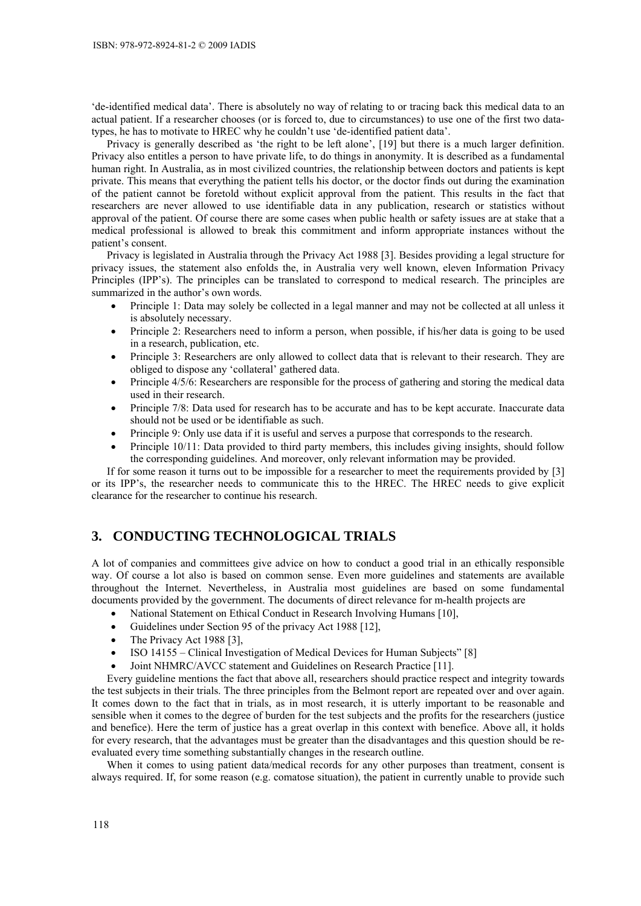'de-identified medical data'. There is absolutely no way of relating to or tracing back this medical data to an actual patient. If a researcher chooses (or is forced to, due to circumstances) to use one of the first two datatypes, he has to motivate to HREC why he couldn't use 'de-identified patient data'.

Privacy is generally described as 'the right to be left alone', [19] but there is a much larger definition. Privacy also entitles a person to have private life, to do things in anonymity. It is described as a fundamental human right. In Australia, as in most civilized countries, the relationship between doctors and patients is kept private. This means that everything the patient tells his doctor, or the doctor finds out during the examination of the patient cannot be foretold without explicit approval from the patient. This results in the fact that researchers are never allowed to use identifiable data in any publication, research or statistics without approval of the patient. Of course there are some cases when public health or safety issues are at stake that a medical professional is allowed to break this commitment and inform appropriate instances without the patient's consent.

Privacy is legislated in Australia through the Privacy Act 1988 [3]. Besides providing a legal structure for privacy issues, the statement also enfolds the, in Australia very well known, eleven Information Privacy Principles (IPP's). The principles can be translated to correspond to medical research. The principles are summarized in the author's own words.

- Principle 1: Data may solely be collected in a legal manner and may not be collected at all unless it is absolutely necessary.
- Principle 2: Researchers need to inform a person, when possible, if his/her data is going to be used in a research, publication, etc.
- Principle 3: Researchers are only allowed to collect data that is relevant to their research. They are obliged to dispose any 'collateral' gathered data.
- Principle 4/5/6: Researchers are responsible for the process of gathering and storing the medical data used in their research.
- Principle 7/8: Data used for research has to be accurate and has to be kept accurate. Inaccurate data should not be used or be identifiable as such.
- Principle 9: Only use data if it is useful and serves a purpose that corresponds to the research.
- Principle 10/11: Data provided to third party members, this includes giving insights, should follow the corresponding guidelines. And moreover, only relevant information may be provided.

If for some reason it turns out to be impossible for a researcher to meet the requirements provided by [3] or its IPP's, the researcher needs to communicate this to the HREC. The HREC needs to give explicit clearance for the researcher to continue his research.

# **3. CONDUCTING TECHNOLOGICAL TRIALS**

A lot of companies and committees give advice on how to conduct a good trial in an ethically responsible way. Of course a lot also is based on common sense. Even more guidelines and statements are available throughout the Internet. Nevertheless, in Australia most guidelines are based on some fundamental documents provided by the government. The documents of direct relevance for m-health projects are

- National Statement on Ethical Conduct in Research Involving Humans [10],
- Guidelines under Section 95 of the privacy Act 1988 [12],
- The Privacy Act 1988 [3],
- ISO 14155 Clinical Investigation of Medical Devices for Human Subjects" [8]
- Joint NHMRC/AVCC statement and Guidelines on Research Practice [11].

Every guideline mentions the fact that above all, researchers should practice respect and integrity towards the test subjects in their trials. The three principles from the Belmont report are repeated over and over again. It comes down to the fact that in trials, as in most research, it is utterly important to be reasonable and sensible when it comes to the degree of burden for the test subjects and the profits for the researchers (justice and benefice). Here the term of justice has a great overlap in this context with benefice. Above all, it holds for every research, that the advantages must be greater than the disadvantages and this question should be reevaluated every time something substantially changes in the research outline.

When it comes to using patient data/medical records for any other purposes than treatment, consent is always required. If, for some reason (e.g. comatose situation), the patient in currently unable to provide such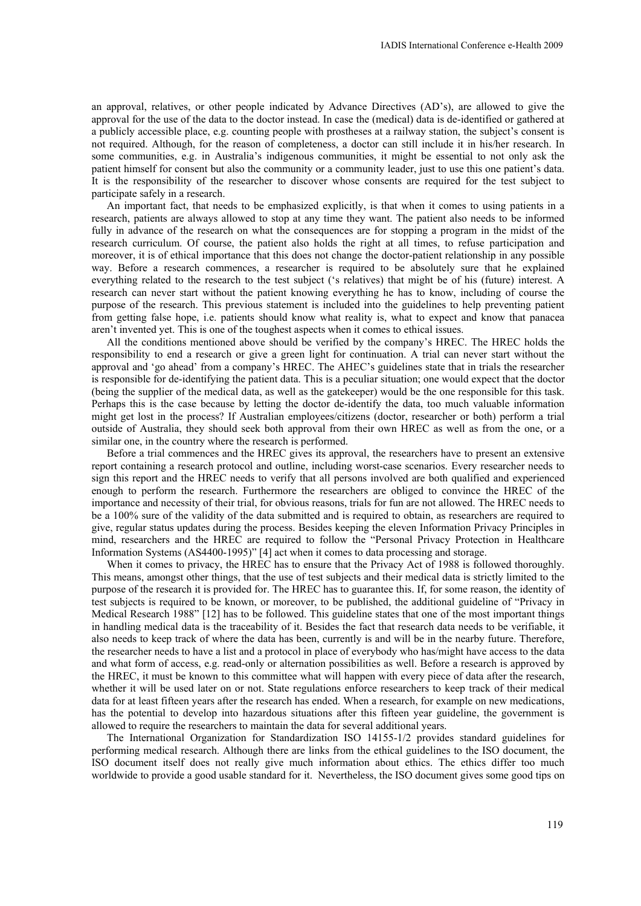an approval, relatives, or other people indicated by Advance Directives (AD's), are allowed to give the approval for the use of the data to the doctor instead. In case the (medical) data is de-identified or gathered at a publicly accessible place, e.g. counting people with prostheses at a railway station, the subject's consent is not required. Although, for the reason of completeness, a doctor can still include it in his/her research. In some communities, e.g. in Australia's indigenous communities, it might be essential to not only ask the patient himself for consent but also the community or a community leader, just to use this one patient's data. It is the responsibility of the researcher to discover whose consents are required for the test subject to participate safely in a research.

An important fact, that needs to be emphasized explicitly, is that when it comes to using patients in a research, patients are always allowed to stop at any time they want. The patient also needs to be informed fully in advance of the research on what the consequences are for stopping a program in the midst of the research curriculum. Of course, the patient also holds the right at all times, to refuse participation and moreover, it is of ethical importance that this does not change the doctor-patient relationship in any possible way. Before a research commences, a researcher is required to be absolutely sure that he explained everything related to the research to the test subject ('s relatives) that might be of his (future) interest. A research can never start without the patient knowing everything he has to know, including of course the purpose of the research. This previous statement is included into the guidelines to help preventing patient from getting false hope, i.e. patients should know what reality is, what to expect and know that panacea aren't invented yet. This is one of the toughest aspects when it comes to ethical issues.

All the conditions mentioned above should be verified by the company's HREC. The HREC holds the responsibility to end a research or give a green light for continuation. A trial can never start without the approval and 'go ahead' from a company's HREC. The AHEC's guidelines state that in trials the researcher is responsible for de-identifying the patient data. This is a peculiar situation; one would expect that the doctor (being the supplier of the medical data, as well as the gatekeeper) would be the one responsible for this task. Perhaps this is the case because by letting the doctor de-identify the data, too much valuable information might get lost in the process? If Australian employees/citizens (doctor, researcher or both) perform a trial outside of Australia, they should seek both approval from their own HREC as well as from the one, or a similar one, in the country where the research is performed.

Before a trial commences and the HREC gives its approval, the researchers have to present an extensive report containing a research protocol and outline, including worst-case scenarios. Every researcher needs to sign this report and the HREC needs to verify that all persons involved are both qualified and experienced enough to perform the research. Furthermore the researchers are obliged to convince the HREC of the importance and necessity of their trial, for obvious reasons, trials for fun are not allowed. The HREC needs to be a 100% sure of the validity of the data submitted and is required to obtain, as researchers are required to give, regular status updates during the process. Besides keeping the eleven Information Privacy Principles in mind, researchers and the HREC are required to follow the "Personal Privacy Protection in Healthcare Information Systems (AS4400-1995)" [4] act when it comes to data processing and storage.

When it comes to privacy, the HREC has to ensure that the Privacy Act of 1988 is followed thoroughly. This means, amongst other things, that the use of test subjects and their medical data is strictly limited to the purpose of the research it is provided for. The HREC has to guarantee this. If, for some reason, the identity of test subjects is required to be known, or moreover, to be published, the additional guideline of "Privacy in Medical Research 1988" [12] has to be followed. This guideline states that one of the most important things in handling medical data is the traceability of it. Besides the fact that research data needs to be verifiable, it also needs to keep track of where the data has been, currently is and will be in the nearby future. Therefore, the researcher needs to have a list and a protocol in place of everybody who has/might have access to the data and what form of access, e.g. read-only or alternation possibilities as well. Before a research is approved by the HREC, it must be known to this committee what will happen with every piece of data after the research, whether it will be used later on or not. State regulations enforce researchers to keep track of their medical data for at least fifteen years after the research has ended. When a research, for example on new medications, has the potential to develop into hazardous situations after this fifteen year guideline, the government is allowed to require the researchers to maintain the data for several additional years.

The International Organization for Standardization ISO 14155-1/2 provides standard guidelines for performing medical research. Although there are links from the ethical guidelines to the ISO document, the ISO document itself does not really give much information about ethics. The ethics differ too much worldwide to provide a good usable standard for it. Nevertheless, the ISO document gives some good tips on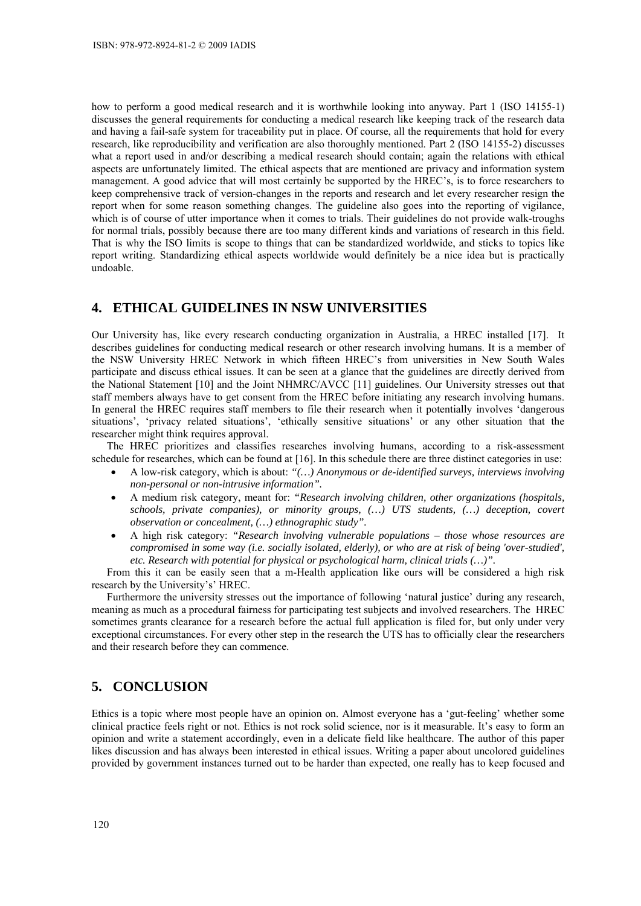how to perform a good medical research and it is worthwhile looking into anyway. Part 1 (ISO 14155-1) discusses the general requirements for conducting a medical research like keeping track of the research data and having a fail-safe system for traceability put in place. Of course, all the requirements that hold for every research, like reproducibility and verification are also thoroughly mentioned. Part 2 (ISO 14155-2) discusses what a report used in and/or describing a medical research should contain; again the relations with ethical aspects are unfortunately limited. The ethical aspects that are mentioned are privacy and information system management. A good advice that will most certainly be supported by the HREC's, is to force researchers to keep comprehensive track of version-changes in the reports and research and let every researcher resign the report when for some reason something changes. The guideline also goes into the reporting of vigilance, which is of course of utter importance when it comes to trials. Their guidelines do not provide walk-troughs for normal trials, possibly because there are too many different kinds and variations of research in this field. That is why the ISO limits is scope to things that can be standardized worldwide, and sticks to topics like report writing. Standardizing ethical aspects worldwide would definitely be a nice idea but is practically undoable.

## **4. ETHICAL GUIDELINES IN NSW UNIVERSITIES**

Our University has, like every research conducting organization in Australia, a HREC installed [17]. It describes guidelines for conducting medical research or other research involving humans. It is a member of the NSW University HREC Network in which fifteen HREC's from universities in New South Wales participate and discuss ethical issues. It can be seen at a glance that the guidelines are directly derived from the National Statement [10] and the Joint NHMRC/AVCC [11] guidelines. Our University stresses out that staff members always have to get consent from the HREC before initiating any research involving humans. In general the HREC requires staff members to file their research when it potentially involves 'dangerous situations', 'privacy related situations', 'ethically sensitive situations' or any other situation that the researcher might think requires approval.

The HREC prioritizes and classifies researches involving humans, according to a risk-assessment schedule for researches, which can be found at [16]. In this schedule there are three distinct categories in use:

- A low-risk category, which is about: *"(…) Anonymous or de-identified surveys, interviews involving non-personal or non-intrusive information".*
- A medium risk category, meant for: *"Research involving children, other organizations (hospitals, schools, private companies), or minority groups, (…) UTS students, (…) deception, covert observation or concealment, (…) ethnographic study".*
- A high risk category: *"Research involving vulnerable populations those whose resources are compromised in some way (i.e. socially isolated, elderly), or who are at risk of being 'over-studied', etc. Research with potential for physical or psychological harm, clinical trials (…)".*

From this it can be easily seen that a m-Health application like ours will be considered a high risk research by the University's' HREC.

Furthermore the university stresses out the importance of following 'natural justice' during any research, meaning as much as a procedural fairness for participating test subjects and involved researchers. The HREC sometimes grants clearance for a research before the actual full application is filed for, but only under very exceptional circumstances. For every other step in the research the UTS has to officially clear the researchers and their research before they can commence.

# **5. CONCLUSION**

Ethics is a topic where most people have an opinion on. Almost everyone has a 'gut-feeling' whether some clinical practice feels right or not. Ethics is not rock solid science, nor is it measurable. It's easy to form an opinion and write a statement accordingly, even in a delicate field like healthcare. The author of this paper likes discussion and has always been interested in ethical issues. Writing a paper about uncolored guidelines provided by government instances turned out to be harder than expected, one really has to keep focused and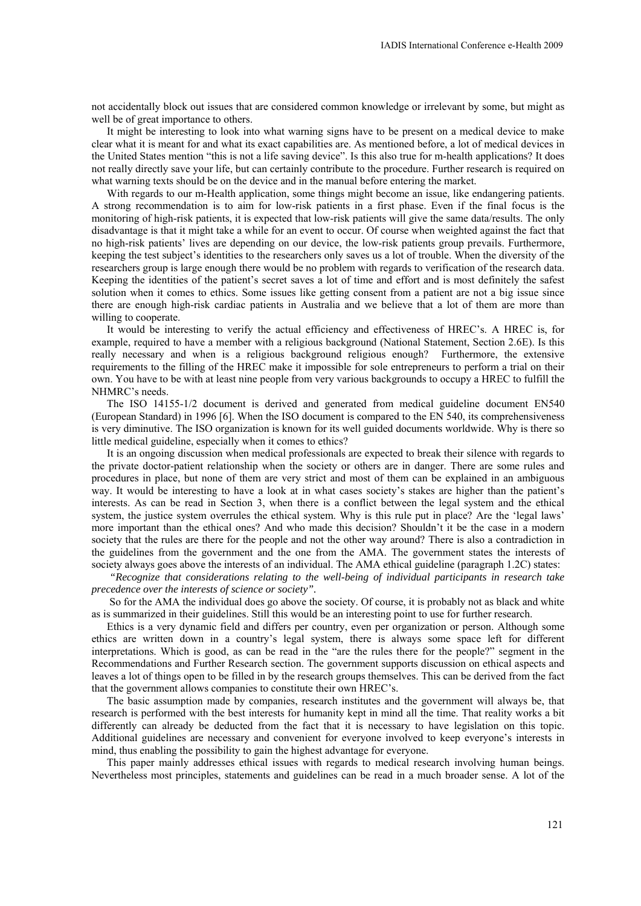not accidentally block out issues that are considered common knowledge or irrelevant by some, but might as well be of great importance to others.

It might be interesting to look into what warning signs have to be present on a medical device to make clear what it is meant for and what its exact capabilities are. As mentioned before, a lot of medical devices in the United States mention "this is not a life saving device". Is this also true for m-health applications? It does not really directly save your life, but can certainly contribute to the procedure. Further research is required on what warning texts should be on the device and in the manual before entering the market.

With regards to our m-Health application, some things might become an issue, like endangering patients. A strong recommendation is to aim for low-risk patients in a first phase. Even if the final focus is the monitoring of high-risk patients, it is expected that low-risk patients will give the same data/results. The only disadvantage is that it might take a while for an event to occur. Of course when weighted against the fact that no high-risk patients' lives are depending on our device, the low-risk patients group prevails. Furthermore, keeping the test subject's identities to the researchers only saves us a lot of trouble. When the diversity of the researchers group is large enough there would be no problem with regards to verification of the research data. Keeping the identities of the patient's secret saves a lot of time and effort and is most definitely the safest solution when it comes to ethics. Some issues like getting consent from a patient are not a big issue since there are enough high-risk cardiac patients in Australia and we believe that a lot of them are more than willing to cooperate.

It would be interesting to verify the actual efficiency and effectiveness of HREC's. A HREC is, for example, required to have a member with a religious background (National Statement, Section 2.6E). Is this really necessary and when is a religious background religious enough? Furthermore, the extensive requirements to the filling of the HREC make it impossible for sole entrepreneurs to perform a trial on their own. You have to be with at least nine people from very various backgrounds to occupy a HREC to fulfill the NHMRC's needs.

The ISO 14155-1/2 document is derived and generated from medical guideline document EN540 (European Standard) in 1996 [6]. When the ISO document is compared to the EN 540, its comprehensiveness is very diminutive. The ISO organization is known for its well guided documents worldwide. Why is there so little medical guideline, especially when it comes to ethics?

It is an ongoing discussion when medical professionals are expected to break their silence with regards to the private doctor-patient relationship when the society or others are in danger. There are some rules and procedures in place, but none of them are very strict and most of them can be explained in an ambiguous way. It would be interesting to have a look at in what cases society's stakes are higher than the patient's interests. As can be read in Section 3, when there is a conflict between the legal system and the ethical system, the justice system overrules the ethical system. Why is this rule put in place? Are the 'legal laws' more important than the ethical ones? And who made this decision? Shouldn't it be the case in a modern society that the rules are there for the people and not the other way around? There is also a contradiction in the guidelines from the government and the one from the AMA. The government states the interests of society always goes above the interests of an individual. The AMA ethical guideline (paragraph 1.2C) states:

 *"Recognize that considerations relating to the well-being of individual participants in research take precedence over the interests of science or society".* 

So for the AMA the individual does go above the society. Of course, it is probably not as black and white as is summarized in their guidelines. Still this would be an interesting point to use for further research.

Ethics is a very dynamic field and differs per country, even per organization or person. Although some ethics are written down in a country's legal system, there is always some space left for different interpretations. Which is good, as can be read in the "are the rules there for the people?" segment in the Recommendations and Further Research section. The government supports discussion on ethical aspects and leaves a lot of things open to be filled in by the research groups themselves. This can be derived from the fact that the government allows companies to constitute their own HREC's.

The basic assumption made by companies, research institutes and the government will always be, that research is performed with the best interests for humanity kept in mind all the time. That reality works a bit differently can already be deducted from the fact that it is necessary to have legislation on this topic. Additional guidelines are necessary and convenient for everyone involved to keep everyone's interests in mind, thus enabling the possibility to gain the highest advantage for everyone.

This paper mainly addresses ethical issues with regards to medical research involving human beings. Nevertheless most principles, statements and guidelines can be read in a much broader sense. A lot of the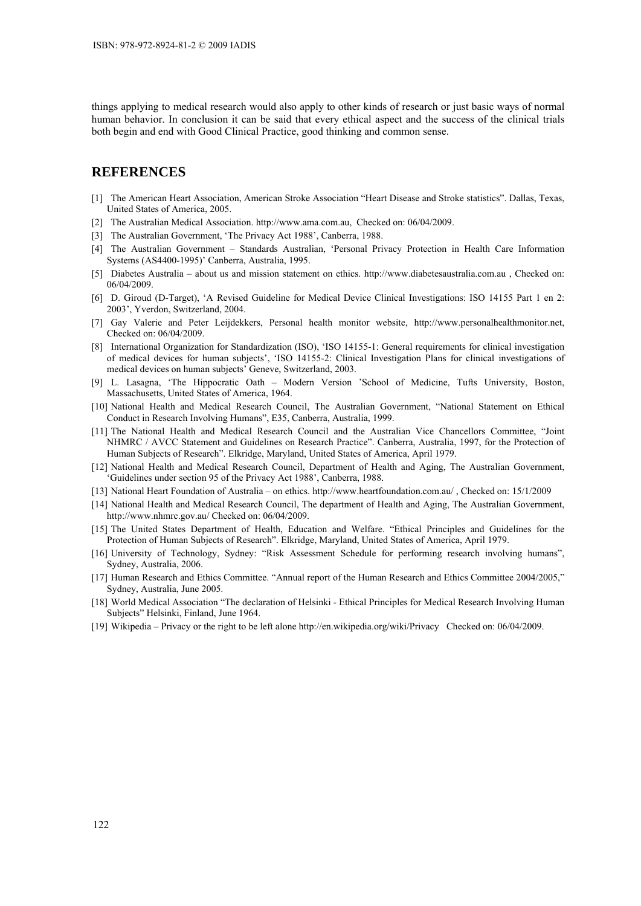things applying to medical research would also apply to other kinds of research or just basic ways of normal human behavior. In conclusion it can be said that every ethical aspect and the success of the clinical trials both begin and end with Good Clinical Practice, good thinking and common sense.

## **REFERENCES**

- [1] The American Heart Association, American Stroke Association "Heart Disease and Stroke statistics". Dallas, Texas, United States of America, 2005.
- [2] The Australian Medical Association. http://www.ama.com.au, Checked on: 06/04/2009.
- [3] The Australian Government, 'The Privacy Act 1988', Canberra, 1988.
- [4] The Australian Government Standards Australian, 'Personal Privacy Protection in Health Care Information Systems (AS4400-1995)' Canberra, Australia, 1995.
- [5] Diabetes Australia about us and mission statement on ethics. http://www.diabetesaustralia.com.au , Checked on: 06/04/2009.
- [6] D. Giroud (D-Target), 'A Revised Guideline for Medical Device Clinical Investigations: ISO 14155 Part 1 en 2: 2003', Yverdon, Switzerland, 2004.
- [7] Gay Valerie and Peter Leijdekkers, Personal health monitor website, http://www.personalhealthmonitor.net, Checked on: 06/04/2009.
- [8] International Organization for Standardization (ISO), 'ISO 14155-1: General requirements for clinical investigation of medical devices for human subjects', 'ISO 14155-2: Clinical Investigation Plans for clinical investigations of medical devices on human subjects' Geneve, Switzerland, 2003.
- [9] L. Lasagna, 'The Hippocratic Oath Modern Version 'School of Medicine, Tufts University, Boston, Massachusetts, United States of America, 1964.
- [10] National Health and Medical Research Council, The Australian Government, "National Statement on Ethical Conduct in Research Involving Humans", E35, Canberra, Australia, 1999.
- [11] The National Health and Medical Research Council and the Australian Vice Chancellors Committee, "Joint NHMRC / AVCC Statement and Guidelines on Research Practice". Canberra, Australia, 1997, for the Protection of Human Subjects of Research". Elkridge, Maryland, United States of America, April 1979.
- [12] National Health and Medical Research Council, Department of Health and Aging, The Australian Government, 'Guidelines under section 95 of the Privacy Act 1988', Canberra, 1988.
- [13] National Heart Foundation of Australia on ethics. http://www.heartfoundation.com.au/ , Checked on: 15/1/2009
- [14] National Health and Medical Research Council, The department of Health and Aging, The Australian Government, http://www.nhmrc.gov.au/ Checked on: 06/04/2009.
- [15] The United States Department of Health, Education and Welfare. "Ethical Principles and Guidelines for the Protection of Human Subjects of Research". Elkridge, Maryland, United States of America, April 1979.
- [16] University of Technology, Sydney: "Risk Assessment Schedule for performing research involving humans", Sydney, Australia, 2006.
- [17] Human Research and Ethics Committee. "Annual report of the Human Research and Ethics Committee 2004/2005," Sydney, Australia, June 2005.
- [18] World Medical Association "The declaration of Helsinki Ethical Principles for Medical Research Involving Human Subjects" Helsinki, Finland, June 1964.
- [19] Wikipedia Privacy or the right to be left alone http://en.wikipedia.org/wiki/Privacy Checked on: 06/04/2009.